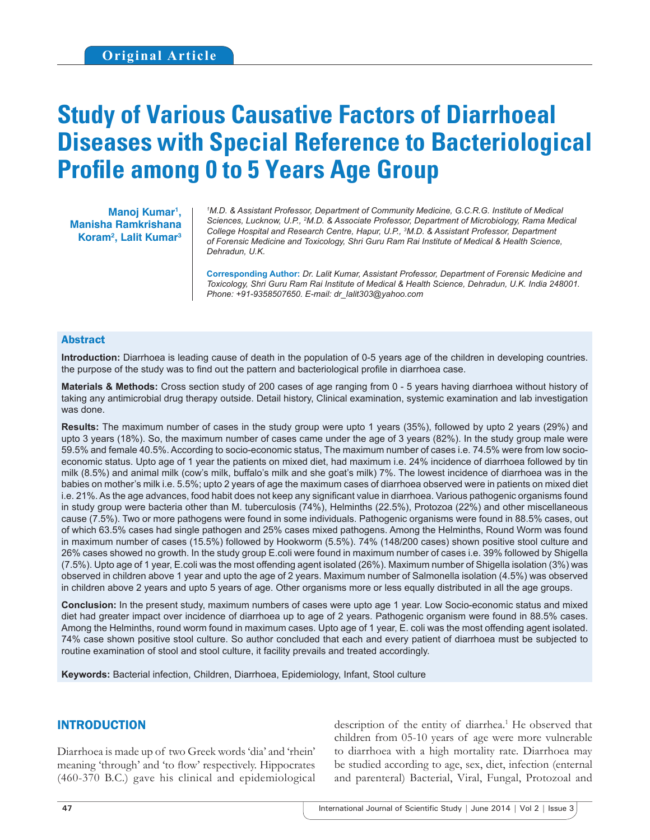# **Study of Various Causative Factors of Diarrhoeal Diseases with Special Reference to Bacteriological Profile among 0 to 5 Years Age Group**

**Manoj Kumar1 , Manisha Ramkrishana Koram2 , Lalit Kumar3**

*1 M.D. & Assistant Professor, Department of Community Medicine, G.C.R.G. Institute of Medical Sciences, Lucknow, U.P., 2 M.D. & Associate Professor, Department of Microbiology, Rama Medical College Hospital and Research Centre, Hapur, U.P., 3 M.D. & Assistant Professor, Department of Forensic Medicine and Toxicology, Shri Guru Ram Rai Institute of Medical & Health Science, Dehradun, U.K.*

**Corresponding Author:** *Dr. Lalit Kumar, Assistant Professor, Department of Forensic Medicine and Toxicology, Shri Guru Ram Rai Institute of Medical & Health Science, Dehradun, U.K. India 248001. Phone: +91-9358507650. E-mail: dr\_lalit303@yahoo.com*

#### Abstract

**Introduction:** Diarrhoea is leading cause of death in the population of 0-5 years age of the children in developing countries. the purpose of the study was to find out the pattern and bacteriological profile in diarrhoea case.

**Materials & Methods:** Cross section study of 200 cases of age ranging from 0 - 5 years having diarrhoea without history of taking any antimicrobial drug therapy outside. Detail history, Clinical examination, systemic examination and lab investigation was done.

**Results:** The maximum number of cases in the study group were upto 1 years (35%), followed by upto 2 years (29%) and upto 3 years (18%). So, the maximum number of cases came under the age of 3 years (82%). In the study group male were 59.5% and female 40.5%. According to socio-economic status, The maximum number of cases i.e. 74.5% were from low socioeconomic status. Upto age of 1 year the patients on mixed diet, had maximum i.e. 24% incidence of diarrhoea followed by tin milk (8.5%) and animal milk (cow's milk, buffalo's milk and she goat's milk) 7%. The lowest incidence of diarrhoea was in the babies on mother's milk i.e. 5.5%; upto 2 years of age the maximum cases of diarrhoea observed were in patients on mixed diet i.e. 21%. As the age advances, food habit does not keep any significant value in diarrhoea. Various pathogenic organisms found in study group were bacteria other than M. tuberculosis (74%), Helminths (22.5%), Protozoa (22%) and other miscellaneous cause (7.5%). Two or more pathogens were found in some individuals. Pathogenic organisms were found in 88.5% cases, out of which 63.5% cases had single pathogen and 25% cases mixed pathogens. Among the Helminths, Round Worm was found in maximum number of cases (15.5%) followed by Hookworm (5.5%). 74% (148/200 cases) shown positive stool culture and 26% cases showed no growth. In the study group E.coli were found in maximum number of cases i.e. 39% followed by Shigella (7.5%). Upto age of 1 year, E.coli was the most offending agent isolated (26%). Maximum number of Shigella isolation (3%) was observed in children above 1 year and upto the age of 2 years. Maximum number of Salmonella isolation (4.5%) was observed in children above 2 years and upto 5 years of age. Other organisms more or less equally distributed in all the age groups.

**Conclusion:** In the present study, maximum numbers of cases were upto age 1 year. Low Socio-economic status and mixed diet had greater impact over incidence of diarrhoea up to age of 2 years. Pathogenic organism were found in 88.5% cases. Among the Helminths, round worm found in maximum cases. Upto age of 1 year, E. coli was the most offending agent isolated. 74% case shown positive stool culture. So author concluded that each and every patient of diarrhoea must be subjected to routine examination of stool and stool culture, it facility prevails and treated accordingly.

**Keywords:** Bacterial infection, Children, Diarrhoea, Epidemiology, Infant, Stool culture

#### INTRODUCTION

Diarrhoea is made up of two Greek words 'dia' and 'rhein' meaning 'through' and 'to flow' respectively. Hippocrates (460-370 B.C.) gave his clinical and epidemiological

description of the entity of diarrhea.<sup>1</sup> He observed that children from 05-10 years of age were more vulnerable to diarrhoea with a high mortality rate. Diarrhoea may be studied according to age, sex, diet, infection (enternal and parenteral) Bacterial, Viral, Fungal, Protozoal and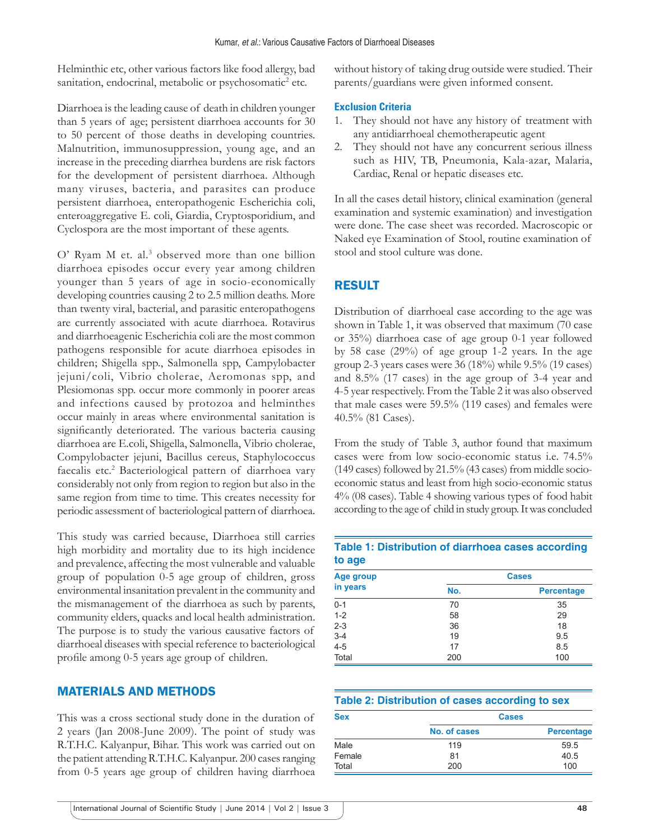Helminthic etc, other various factors like food allergy, bad sanitation, endocrinal, metabolic or psychosomatic<sup>2</sup> etc.

Diarrhoea is the leading cause of death in children younger than 5 years of age; persistent diarrhoea accounts for 30 to 50 percent of those deaths in developing countries. Malnutrition, immunosuppression, young age, and an increase in the preceding diarrhea burdens are risk factors for the development of persistent diarrhoea. Although many viruses, bacteria, and parasites can produce persistent diarrhoea, enteropathogenic Escherichia coli, enteroaggregative E. coli, Giardia, Cryptosporidium, and Cyclospora are the most important of these agents.

O' Ryam M et. al.<sup>3</sup> observed more than one billion diarrhoea episodes occur every year among children younger than 5 years of age in socio-economically developing countries causing 2 to 2.5 million deaths. More than twenty viral, bacterial, and parasitic enteropathogens are currently associated with acute diarrhoea. Rotavirus and diarrhoeagenic Escherichia coli are the most common pathogens responsible for acute diarrhoea episodes in children; Shigella spp., Salmonella spp, Campylobacter jejuni/coli, Vibrio cholerae, Aeromonas spp, and Plesiomonas spp. occur more commonly in poorer areas and infections caused by protozoa and helminthes occur mainly in areas where environmental sanitation is significantly deteriorated. The various bacteria causing diarrhoea are E.coli, Shigella, Salmonella, Vibrio cholerae, Compylobacter jejuni, Bacillus cereus, Staphylococcus faecalis etc.<sup>2</sup> Bacteriological pattern of diarrhoea vary considerably not only from region to region but also in the same region from time to time. This creates necessity for periodic assessment of bacteriological pattern of diarrhoea.

This study was carried because, Diarrhoea still carries high morbidity and mortality due to its high incidence and prevalence, affecting the most vulnerable and valuable group of population 0-5 age group of children, gross environmental insanitation prevalent in the community and the mismanagement of the diarrhoea as such by parents, community elders, quacks and local health administration. The purpose is to study the various causative factors of diarrhoeal diseases with special reference to bacteriological profile among 0-5 years age group of children.

### MATERIALS AND METHODS

This was a cross sectional study done in the duration of 2 years (Jan 2008-June 2009). The point of study was R.T.H.C. Kalyanpur, Bihar. This work was carried out on the patient attending R.T.H.C. Kalyanpur. 200 cases ranging from 0-5 years age group of children having diarrhoea without history of taking drug outside were studied. Their parents/guardians were given informed consent.

#### **Exclusion Criteria**

- 1. They should not have any history of treatment with any antidiarrhoeal chemotherapeutic agent
- 2. They should not have any concurrent serious illness such as HIV, TB, Pneumonia, Kala-azar, Malaria, Cardiac, Renal or hepatic diseases etc.

In all the cases detail history, clinical examination (general examination and systemic examination) and investigation were done. The case sheet was recorded. Macroscopic or Naked eye Examination of Stool, routine examination of stool and stool culture was done.

# RESULT

Distribution of diarrhoeal case according to the age was shown in Table 1, it was observed that maximum (70 case or 35%) diarrhoea case of age group 0-1 year followed by 58 case (29%) of age group 1-2 years. In the age group 2-3 years cases were 36 (18%) while 9.5% (19 cases) and 8.5% (17 cases) in the age group of 3-4 year and 4-5 year respectively. From the Table 2 it was also observed that male cases were 59.5% (119 cases) and females were 40.5% (81 Cases).

From the study of Table 3, author found that maximum cases were from low socio-economic status i.e. 74.5% (149 cases) followed by  $21.5\%$  (43 cases) from middle socioeconomic status and least from high socio-economic status 4% (08 cases). Table 4 showing various types of food habit according to the age of child in study group. It was concluded

#### **Table 1: Distribution of diarrhoea cases according to age**

| Age group |     | <b>Cases</b>      |
|-----------|-----|-------------------|
| in years  | No. | <b>Percentage</b> |
| $0 - 1$   | 70  | 35                |
| $1 - 2$   | 58  | 29                |
| $2 - 3$   | 36  | 18                |
| $3 - 4$   | 19  | 9.5               |
| $4 - 5$   | 17  | 8.5               |
| Total     | 200 | 100               |

#### **Table 2: Distribution of cases according to sex**

| <b>Sex</b> | <b>Cases</b> |                   |
|------------|--------------|-------------------|
|            | No. of cases | <b>Percentage</b> |
| Male       | 119          | 59.5              |
| Female     | 81           | 40.5              |
| Total      | 200          | 100               |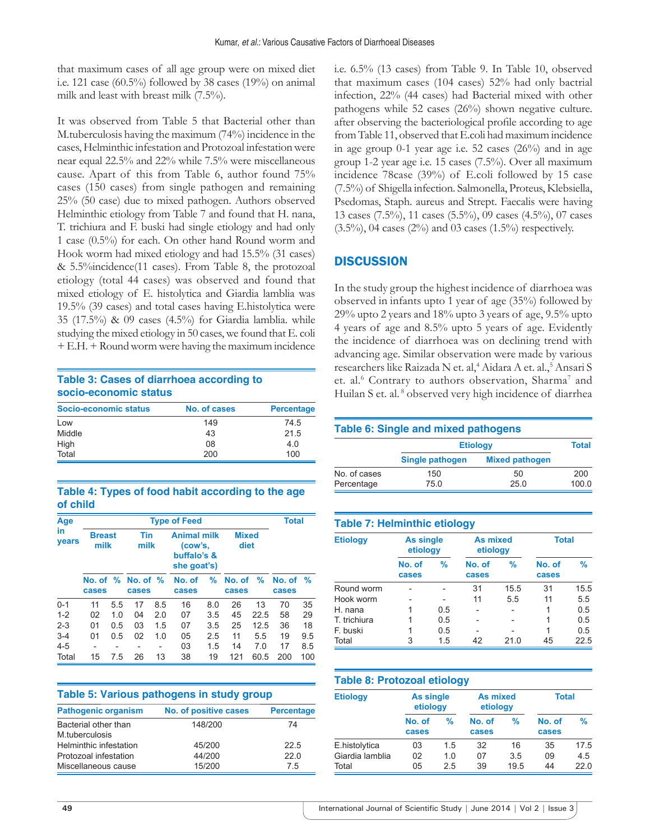that maximum cases of all age group were on mixed diet i.e. 121 case  $(60.5\%)$  followed by 38 cases  $(19\%)$  on animal milk and least with breast milk (7.5%).

It was observed from Table 5 that Bacterial other than M.tuberculosis having the maximum (74%) incidence in the cases, Helminthic infestation and Protozoal infestation were near equal 22.5% and 22% while 7.5% were miscellaneous cause. Apart of this from Table 6, author found 75% cases (150 cases) from single pathogen and remaining 25% (50 case) due to mixed pathogen. Authors observed Helminthic etiology from Table 7 and found that H. nana, T. trichiura and F. buski had single etiology and had only 1 case (0.5%) for each. On other hand Round worm and Hook worm had mixed etiology and had 15.5% (31 cases) & 5.5%incidence(11 cases). From Table 8, the protozoal etiology (total 44 cases) was observed and found that mixed etiology of E. histolytica and Giardia lamblia was 19.5% (39 cases) and total cases having E.histolytica were 35 (17.5%) & 09 cases (4.5%) for Giardia lamblia. while studying the mixed etiology in 50 cases, we found that E. coli + E.H. + Round worm were having the maximum incidence

#### **Table 3: Cases of diarrhoea according to socio-economic status**

| Socio-economic status | No. of cases | <b>Percentage</b> |
|-----------------------|--------------|-------------------|
| Low                   | 149          | 74.5              |
| Middle                | 43           | 21.5              |
| High                  | 08           | 4.0               |
| Total                 | 200          | 100               |

#### **Table 4: Types of food habit according to the age of child**

| Age         |                       | <b>Type of Feed</b>      |                                  |     |                                                             |     |                      |      |                 |               |  |  |  |  |  |
|-------------|-----------------------|--------------------------|----------------------------------|-----|-------------------------------------------------------------|-----|----------------------|------|-----------------|---------------|--|--|--|--|--|
| in<br>years | <b>Breast</b><br>milk |                          | Tin<br>milk                      |     | <b>Animal milk</b><br>(cow's,<br>buffalo's &<br>she goat's) |     | <b>Mixed</b><br>diet |      |                 |               |  |  |  |  |  |
|             | cases                 |                          | No. of $\%$ No. of $\%$<br>cases |     | No. of<br>cases                                             | %   | No. of<br>cases      | $\%$ | No. of<br>cases | $\frac{9}{6}$ |  |  |  |  |  |
| $0 - 1$     | 11                    | 5.5                      | 17                               | 8.5 | 16                                                          | 8.0 | 26                   | 13   | 70              | 35            |  |  |  |  |  |
| $1 - 2$     | 02                    | 1.0                      | 04                               | 2.0 | 07                                                          | 3.5 | 45                   | 22.5 | 58              | 29            |  |  |  |  |  |
| $2 - 3$     | 01                    | 0.5                      | 03                               | 1.5 | 07                                                          | 3.5 | 25                   | 12.5 | 36              | 18            |  |  |  |  |  |
| $3 - 4$     | 01                    | 0.5                      | 02                               | 1.0 | 05                                                          | 2.5 | 11                   | 5.5  | 19              | 9.5           |  |  |  |  |  |
| $4 - 5$     | -                     | $\overline{\phantom{0}}$ |                                  | -   | 03                                                          | 1.5 | 14                   | 7.0  | 17              | 8.5           |  |  |  |  |  |
| Total       | 15                    | 7.5                      | 26                               | 13  | 38                                                          | 19  | 121                  | 60.5 | 200             | 100           |  |  |  |  |  |

| Table 5: Various pathogens in study group |                       |                   |  |  |  |  |  |  |
|-------------------------------------------|-----------------------|-------------------|--|--|--|--|--|--|
| <b>Pathogenic organism</b>                | No. of positive cases | <b>Percentage</b> |  |  |  |  |  |  |
| Bacterial other than                      | 148/200               | 74                |  |  |  |  |  |  |
| M.tuberculosis                            |                       |                   |  |  |  |  |  |  |
| Helminthic infestation                    | 45/200                | 22.5              |  |  |  |  |  |  |
| Protozoal infestation                     | 44/200                | 220               |  |  |  |  |  |  |
| Miscellaneous cause                       | 15/200                | 7.5               |  |  |  |  |  |  |

i.e. 6.5% (13 cases) from Table 9. In Table 10, observed that maximum cases (104 cases) 52% had only bactrial infection, 22% (44 cases) had Bacterial mixed with other pathogens while 52 cases (26%) shown negative culture. after observing the bacteriological profile according to age from Table 11, observed that E.coli had maximum incidence in age group 0-1 year age i.e. 52 cases (26%) and in age group 1-2 year age i.e. 15 cases (7.5%). Over all maximum incidence 78case (39%) of E.coli followed by 15 case (7.5%) of Shigella infection. Salmonella, Proteus, Klebsiella, Psedomas, Staph. aureus and Strept. Faecalis were having 13 cases (7.5%), 11 cases (5.5%), 09 cases (4.5%), 07 cases  $(3.5\%)$ , 04 cases  $(2\%)$  and 03 cases  $(1.5\%)$  respectively.

# **DISCUSSION**

In the study group the highest incidence of diarrhoea was observed in infants upto 1 year of age (35%) followed by 29% upto 2 years and 18% upto 3 years of age, 9.5% upto 4 years of age and 8.5% upto 5 years of age. Evidently the incidence of diarrhoea was on declining trend with advancing age. Similar observation were made by various researchers like Raizada N et. al,<sup>4</sup> Aidara A et. al.,<sup>5</sup> Ansari S et. al.<sup>6</sup> Contrary to authors observation, Sharma<sup>7</sup> and Huilan S et. al.<sup>8</sup> observed very high incidence of diarrhea

# **Table 6: Single and mixed pathogens Etiology Total Single pathogen Mixed pathogen** No. of cases 150 50 200 Percentage 75.0 25.0 100.0

| <b>Table 7: Helminthic etiology</b> |                              |     |                             |      |                 |      |  |  |  |  |  |
|-------------------------------------|------------------------------|-----|-----------------------------|------|-----------------|------|--|--|--|--|--|
| <b>Etiology</b>                     | <b>As single</b><br>etiology |     | <b>As mixed</b><br>etiology |      | <b>Total</b>    |      |  |  |  |  |  |
|                                     | No. of<br>cases              | %   | No. of<br>cases             | %    | No. of<br>cases | %    |  |  |  |  |  |
| Round worm                          |                              |     | 31                          | 15.5 | 31              | 15.5 |  |  |  |  |  |
| Hook worm                           |                              |     | 11                          | 5.5  | 11              | 5.5  |  |  |  |  |  |
| H. nana                             | 1                            | 0.5 |                             |      |                 | 0.5  |  |  |  |  |  |
| T. trichiura                        |                              | 0.5 |                             |      |                 | 0.5  |  |  |  |  |  |
| F. buski                            | 1                            | 0.5 |                             |      |                 | 0.5  |  |  |  |  |  |
| Total                               | 3                            | 1.5 | 42                          | 21.0 | 45              | 22.5 |  |  |  |  |  |

| <b>Table 8: Protozoal etiology</b> |                       |     |                      |      |                 |      |  |  |  |  |  |
|------------------------------------|-----------------------|-----|----------------------|------|-----------------|------|--|--|--|--|--|
| <b>Etiology</b>                    | As single<br>etiology |     | As mixed<br>etiology |      | <b>Total</b>    |      |  |  |  |  |  |
|                                    | No. of<br>cases       | %   | No. of<br>cases      | %    | No. of<br>cases | %    |  |  |  |  |  |
| E.histolytica                      | 03                    | 1.5 | 32                   | 16   | 35              | 17.5 |  |  |  |  |  |
| Giardia lamblia                    | 02                    | 1.0 | 07                   | 3.5  | 09              | 4.5  |  |  |  |  |  |
| Total                              | 05                    | 2.5 | 39                   | 19.5 | 44              | 22.0 |  |  |  |  |  |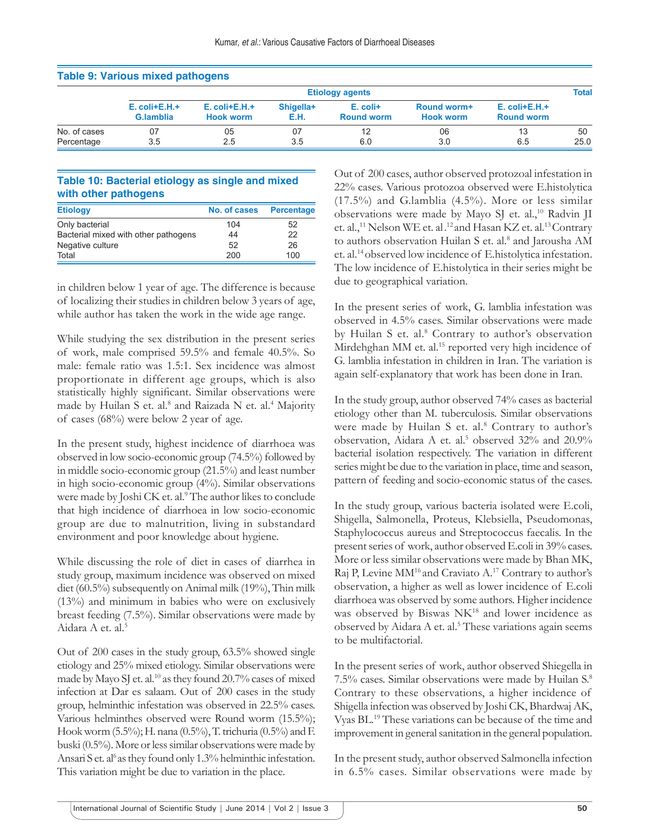| Table 9: various mixed pathogens |                                 |                                        |                   |                                 |                                 |                                         |      |  |  |  |  |  |  |
|----------------------------------|---------------------------------|----------------------------------------|-------------------|---------------------------------|---------------------------------|-----------------------------------------|------|--|--|--|--|--|--|
|                                  | <b>Etiology agents</b>          |                                        |                   |                                 |                                 |                                         |      |  |  |  |  |  |  |
|                                  | $E.$ coli+ $E.H.+$<br>G.lamblia | $E.$ coli+ $E.H.+$<br><b>Hook worm</b> | Shigella+<br>E.H. | $E.$ coli+<br><b>Round worm</b> | Round worm+<br><b>Hook worm</b> | $E.$ coli+ $E.H.+$<br><b>Round worm</b> |      |  |  |  |  |  |  |
| No. of cases                     |                                 | 05                                     | 07                |                                 | 06                              |                                         | 50   |  |  |  |  |  |  |
| Percentage                       | 3.5                             | 2.5                                    | 3.5               | 6.0                             | 3.0                             | 6.5                                     | 25.0 |  |  |  |  |  |  |

#### **Table 9: Various mixed pathogens**

#### **Table 10: Bacterial etiology as single and mixed with other pathogens**

| <b>Etiology</b>                      | No. of cases | <b>Percentage</b> |
|--------------------------------------|--------------|-------------------|
| Only bacterial                       | 104          | 52                |
| Bacterial mixed with other pathogens | 44           | 22                |
| Negative culture                     | 52           | 26                |
| Total                                | 200          | 100               |

in children below 1 year of age. The difference is because of localizing their studies in children below 3 years of age, while author has taken the work in the wide age range.

While studying the sex distribution in the present series of work, male comprised 59.5% and female 40.5%. So male: female ratio was 1.5:1. Sex incidence was almost proportionate in different age groups, which is also statistically highly significant. Similar observations were made by Huilan S et. al.<sup>8</sup> and Raizada N et. al.<sup>4</sup> Majority of cases (68%) were below 2 year of age.

In the present study, highest incidence of diarrhoea was observed in low socio-economic group (74.5%) followed by in middle socio-economic group (21.5%) and least number in high socio-economic group (4%). Similar observations were made by Joshi CK et. al.<sup>9</sup> The author likes to conclude that high incidence of diarrhoea in low socio-economic group are due to malnutrition, living in substandard environment and poor knowledge about hygiene.

While discussing the role of diet in cases of diarrhea in study group, maximum incidence was observed on mixed diet (60.5%) subsequently on Animal milk (19%), Thin milk (13%) and minimum in babies who were on exclusively breast feeding (7.5%). Similar observations were made by Aidara A et. al.<sup>5</sup>

Out of 200 cases in the study group, 63.5% showed single etiology and 25% mixed etiology. Similar observations were made by Mayo SJ et. al.<sup>10</sup> as they found 20.7% cases of mixed infection at Dar es salaam. Out of 200 cases in the study group, helminthic infestation was observed in 22.5% cases. Various helminthes observed were Round worm (15.5%); Hook worm (5.5%); H. nana (0.5%), T. trichuria (0.5%) and F. buski (0.5%). More or less similar observations were made by Ansari S et. al<sup>6</sup> as they found only 1.3% helminthic infestation. This variation might be due to variation in the place.

Out of 200 cases, author observed protozoal infestation in 22% cases. Various protozoa observed were E.histolytica (17.5%) and G.lamblia (4.5%). More or less similar observations were made by Mayo SJ et. al.,<sup>10</sup> Radvin JI et. al.,<sup>11</sup> Nelson WE et. al.<sup>12</sup> and Hasan KZ et. al.<sup>13</sup> Contrary to authors observation Huilan S et. al.<sup>8</sup> and Jarousha AM et. al.14 observed low incidence of E.histolytica infestation. The low incidence of E.histolytica in their series might be due to geographical variation.

In the present series of work, G. lamblia infestation was observed in 4.5% cases. Similar observations were made by Huilan S et. al.<sup>8</sup> Contrary to author's observation Mirdehghan MM et. al.<sup>15</sup> reported very high incidence of G. lamblia infestation in children in Iran. The variation is again self-explanatory that work has been done in Iran.

In the study group, author observed 74% cases as bacterial etiology other than M. tuberculosis. Similar observations were made by Huilan S et. al.<sup>8</sup> Contrary to author's observation, Aidara A et. al.<sup>5</sup> observed 32% and 20.9% bacterial isolation respectively. The variation in different series might be due to the variation in place, time and season, pattern of feeding and socio-economic status of the cases.

In the study group, various bacteria isolated were E.coli, Shigella, Salmonella, Proteus, Klebsiella, Pseudomonas, Staphylococcus aureus and Streptococcus faecalis. In the present series of work, author observed E.coli in 39% cases. More or less similar observations were made by Bhan MK, Raj P, Levine MM<sup>16</sup> and Craviato A.<sup>17</sup> Contrary to author's observation, a higher as well as lower incidence of E.coli diarrhoea was observed by some authors. Higher incidence was observed by Biswas NK<sup>18</sup> and lower incidence as observed by Aidara A et. al.<sup>5</sup> These variations again seems to be multifactorial.

In the present series of work, author observed Shiegella in 7.5% cases. Similar observations were made by Huilan S.8 Contrary to these observations, a higher incidence of Shigella infection was observed by Joshi CK, Bhardwaj AK, Vyas BL.19 These variations can be because of the time and improvement in general sanitation in the general population.

In the present study, author observed Salmonella infection in 6.5% cases. Similar observations were made by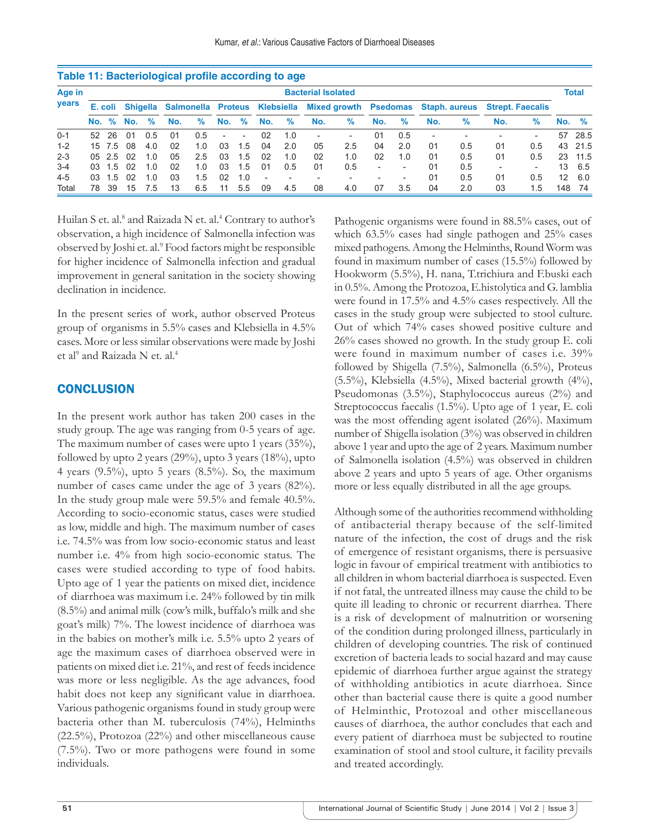|         | Table 11: Bacteriological profile according to age |                           |            |      |                                        |     |                          |     |                |                          |                          |                          |                          |                          |                          |                      |                         |                          |                 |               |
|---------|----------------------------------------------------|---------------------------|------------|------|----------------------------------------|-----|--------------------------|-----|----------------|--------------------------|--------------------------|--------------------------|--------------------------|--------------------------|--------------------------|----------------------|-------------------------|--------------------------|-----------------|---------------|
| Age in  |                                                    | <b>Bacterial Isolated</b> |            |      |                                        |     |                          |     |                |                          |                          |                          |                          |                          |                          |                      |                         | <b>Total</b>             |                 |               |
| years   | E. coli                                            |                           |            |      | Shigella Salmonella Proteus Klebsiella |     |                          |     |                |                          |                          | Mixed growth Psedomas    |                          |                          |                          | <b>Staph. aureus</b> | <b>Strept. Faecalis</b> |                          |                 |               |
|         | No. %                                              |                           | No.        | $\%$ | No.                                    | %   | No.                      | %   | No.            | %                        | No.                      | %                        | No.                      | $\%$                     | No.                      | $\%$                 | No.                     | $\frac{9}{6}$            | No.             | $\frac{9}{6}$ |
| $0 - 1$ | 52.                                                | 26                        | $^{\circ}$ | 0.5  | 01                                     | 0.5 | $\overline{\phantom{0}}$ | ۰   | 02             | 1.0                      | $\overline{\phantom{a}}$ | $\overline{\phantom{0}}$ | 01                       | 0.5                      | $\overline{\phantom{a}}$ |                      |                         | $\overline{\phantom{0}}$ | 57              | 28.5          |
| $1 - 2$ |                                                    | 15 7.5                    | 08         | 4.0  | 02                                     | 1.0 | 03                       | 1.5 | 04             | 2.0                      | 05                       | 2.5                      | 04                       | 2.0                      | 01                       | 0.5                  | 01                      | 0.5                      | 43              | 21.5          |
| $2 - 3$ | 05                                                 | 2.5                       | റാ         | 1.0  | 05                                     | 2.5 | 03                       | 1.5 | 02             | 1.0                      | 02                       | 1.0                      | 02                       | 1.0                      | 01                       | 0.5                  | 01                      | 0.5                      | 23              | 11.5          |
| $3 - 4$ | 03                                                 | 1.5                       | 02         | 1.0  | 02                                     | 1.0 | 03                       | 1.5 | 01             | 0.5                      | 01                       | 0.5                      | $\overline{\phantom{0}}$ | $\overline{\phantom{0}}$ | 01                       | 0.5                  |                         | $\overline{\phantom{0}}$ | 13              | 6.5           |
| $4 - 5$ | 03                                                 | 1.5                       | 02         | 1 O  | 03                                     | 1.5 | 02                       | 1.0 | $\overline{a}$ | $\overline{\phantom{a}}$ | $\overline{\phantom{0}}$ |                          |                          | $\overline{\phantom{a}}$ | 01                       | 0.5                  | 01                      | 0.5                      | 12 <sup>°</sup> | 6.0           |
| Total   | 78                                                 | 39                        | 15         | 7.5  | 13                                     | 6.5 | 11                       | 5.5 | 09             | 4.5                      | 08                       | 4.0                      | 07                       | 3.5                      | 04                       | 2.0                  | 03                      | 1.5                      | 148             | 74            |

Huilan S et. al.<sup>8</sup> and Raizada N et. al.<sup>4</sup> Contrary to author's observation, a high incidence of Salmonella infection was observed by Joshi et. al.<sup>9</sup> Food factors might be responsible for higher incidence of Salmonella infection and gradual improvement in general sanitation in the society showing declination in incidence.

In the present series of work, author observed Proteus group of organisms in 5.5% cases and Klebsiella in 4.5% cases. More or less similar observations were made by Joshi et al<sup>9</sup> and Raizada N et. al.<sup>4</sup>

## **CONCLUSION**

In the present work author has taken 200 cases in the study group. The age was ranging from 0-5 years of age. The maximum number of cases were upto 1 years (35%), followed by upto 2 years (29%), upto 3 years (18%), upto 4 years  $(9.5\%)$ , upto 5 years  $(8.5\%)$ . So, the maximum number of cases came under the age of 3 years (82%). In the study group male were 59.5% and female 40.5%. According to socio-economic status, cases were studied as low, middle and high. The maximum number of cases i.e. 74.5% was from low socio-economic status and least number i.e. 4% from high socio-economic status. The cases were studied according to type of food habits. Upto age of 1 year the patients on mixed diet, incidence of diarrhoea was maximum i.e. 24% followed by tin milk (8.5%) and animal milk (cow's milk, buffalo's milk and she goat's milk) 7%. The lowest incidence of diarrhoea was in the babies on mother's milk i.e. 5.5% upto 2 years of age the maximum cases of diarrhoea observed were in patients on mixed diet i.e. 21%, and rest of feeds incidence was more or less negligible. As the age advances, food habit does not keep any significant value in diarrhoea. Various pathogenic organisms found in study group were bacteria other than M. tuberculosis (74%), Helminths (22.5%), Protozoa (22%) and other miscellaneous cause (7.5%). Two or more pathogens were found in some individuals.

Pathogenic organisms were found in 88.5% cases, out of which 63.5% cases had single pathogen and 25% cases mixed pathogens. Among the Helminths, Round Worm was found in maximum number of cases (15.5%) followed by Hookworm (5.5%), H. nana, T.trichiura and F.buski each in 0.5%. Among the Protozoa, E.histolytica and G. lamblia were found in 17.5% and 4.5% cases respectively. All the cases in the study group were subjected to stool culture. Out of which 74% cases showed positive culture and 26% cases showed no growth. In the study group E. coli were found in maximum number of cases i.e. 39% followed by Shigella (7.5%), Salmonella (6.5%), Proteus  $(5.5\%)$ , Klebsiella  $(4.5\%)$ , Mixed bacterial growth  $(4\%)$ , Pseudomonas (3.5%), Staphylococcus aureus (2%) and Streptococcus faecalis (1.5%). Upto age of 1 year, E. coli was the most offending agent isolated (26%). Maximum number of Shigella isolation (3%) was observed in children above 1 year and upto the age of 2 years. Maximum number of Salmonella isolation (4.5%) was observed in children above 2 years and upto 5 years of age. Other organisms more or less equally distributed in all the age groups.

Although some of the authorities recommend withholding of antibacterial therapy because of the self-limited nature of the infection, the cost of drugs and the risk of emergence of resistant organisms, there is persuasive logic in favour of empirical treatment with antibiotics to all children in whom bacterial diarrhoea is suspected. Even if not fatal, the untreated illness may cause the child to be quite ill leading to chronic or recurrent diarrhea. There is a risk of development of malnutrition or worsening of the condition during prolonged illness, particularly in children of developing countries. The risk of continued excretion of bacteria leads to social hazard and may cause epidemic of diarrhoea further argue against the strategy of withholding antibiotics in acute diarrhoea. Since other than bacterial cause there is quite a good number of Helminthic, Protozoal and other miscellaneous causes of diarrhoea, the author concludes that each and every patient of diarrhoea must be subjected to routine examination of stool and stool culture, it facility prevails and treated accordingly.